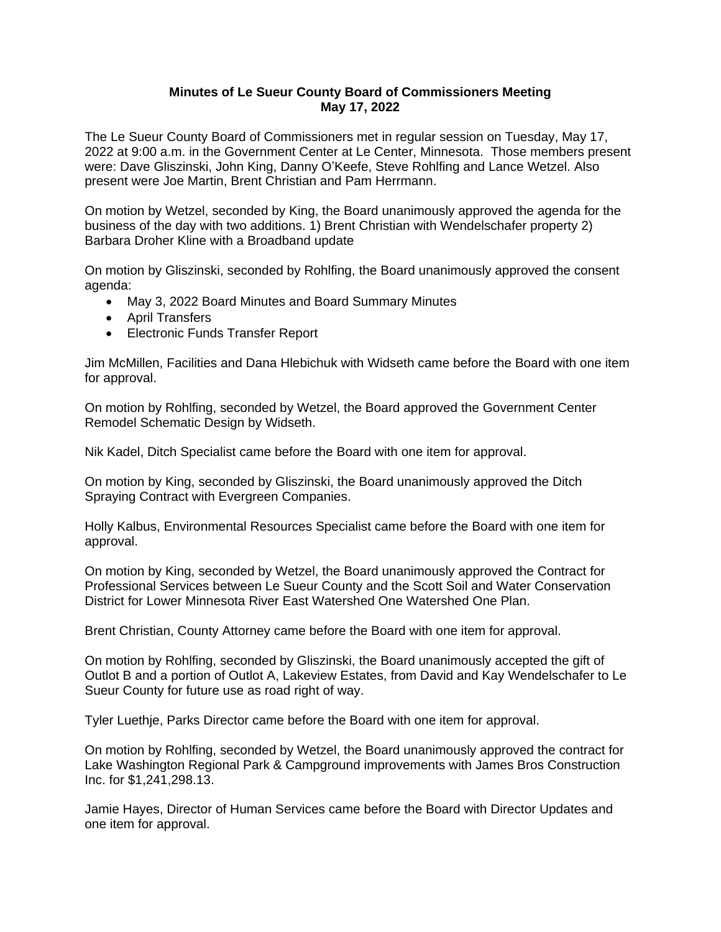## **Minutes of Le Sueur County Board of Commissioners Meeting May 17, 2022**

The Le Sueur County Board of Commissioners met in regular session on Tuesday, May 17, 2022 at 9:00 a.m. in the Government Center at Le Center, Minnesota. Those members present were: Dave Gliszinski, John King, Danny O'Keefe, Steve Rohlfing and Lance Wetzel. Also present were Joe Martin, Brent Christian and Pam Herrmann.

On motion by Wetzel, seconded by King, the Board unanimously approved the agenda for the business of the day with two additions. 1) Brent Christian with Wendelschafer property 2) Barbara Droher Kline with a Broadband update

On motion by Gliszinski, seconded by Rohlfing, the Board unanimously approved the consent agenda:

- May 3, 2022 Board Minutes and Board Summary Minutes
- April Transfers
- Electronic Funds Transfer Report

Jim McMillen, Facilities and Dana Hlebichuk with Widseth came before the Board with one item for approval.

On motion by Rohlfing, seconded by Wetzel, the Board approved the Government Center Remodel Schematic Design by Widseth.

Nik Kadel, Ditch Specialist came before the Board with one item for approval.

On motion by King, seconded by Gliszinski, the Board unanimously approved the Ditch Spraying Contract with Evergreen Companies.

Holly Kalbus, Environmental Resources Specialist came before the Board with one item for approval.

On motion by King, seconded by Wetzel, the Board unanimously approved the Contract for Professional Services between Le Sueur County and the Scott Soil and Water Conservation District for Lower Minnesota River East Watershed One Watershed One Plan.

Brent Christian, County Attorney came before the Board with one item for approval.

On motion by Rohlfing, seconded by Gliszinski, the Board unanimously accepted the gift of Outlot B and a portion of Outlot A, Lakeview Estates, from David and Kay Wendelschafer to Le Sueur County for future use as road right of way.

Tyler Luethje, Parks Director came before the Board with one item for approval.

On motion by Rohlfing, seconded by Wetzel, the Board unanimously approved the contract for Lake Washington Regional Park & Campground improvements with James Bros Construction Inc. for \$1,241,298.13.

Jamie Hayes, Director of Human Services came before the Board with Director Updates and one item for approval.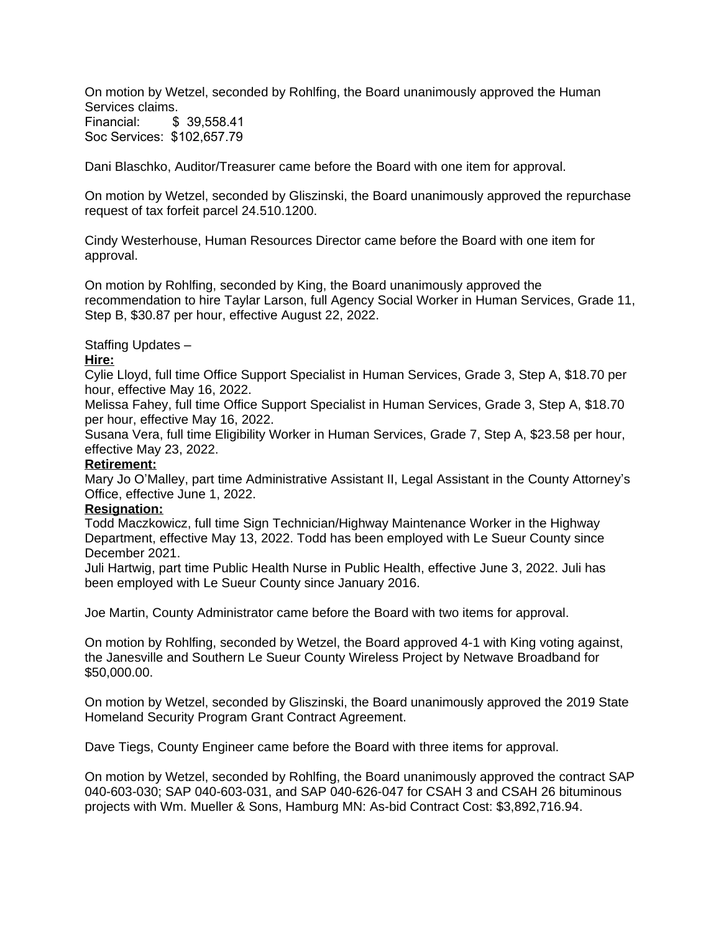On motion by Wetzel, seconded by Rohlfing, the Board unanimously approved the Human Services claims. Financial: \$ 39,558.41 Soc Services: \$102,657.79

Dani Blaschko, Auditor/Treasurer came before the Board with one item for approval.

On motion by Wetzel, seconded by Gliszinski, the Board unanimously approved the repurchase request of tax forfeit parcel 24.510.1200.

Cindy Westerhouse, Human Resources Director came before the Board with one item for approval.

On motion by Rohlfing, seconded by King, the Board unanimously approved the recommendation to hire Taylar Larson, full Agency Social Worker in Human Services, Grade 11, Step B, \$30.87 per hour, effective August 22, 2022.

Staffing Updates –

## **Hire:**

Cylie Lloyd, full time Office Support Specialist in Human Services, Grade 3, Step A, \$18.70 per hour, effective May 16, 2022.

Melissa Fahey, full time Office Support Specialist in Human Services, Grade 3, Step A, \$18.70 per hour, effective May 16, 2022.

Susana Vera, full time Eligibility Worker in Human Services, Grade 7, Step A, \$23.58 per hour, effective May 23, 2022.

## **Retirement:**

Mary Jo O'Malley, part time Administrative Assistant II, Legal Assistant in the County Attorney's Office, effective June 1, 2022.

## **Resignation:**

Todd Maczkowicz, full time Sign Technician/Highway Maintenance Worker in the Highway Department, effective May 13, 2022. Todd has been employed with Le Sueur County since December 2021.

Juli Hartwig, part time Public Health Nurse in Public Health, effective June 3, 2022. Juli has been employed with Le Sueur County since January 2016.

Joe Martin, County Administrator came before the Board with two items for approval.

On motion by Rohlfing, seconded by Wetzel, the Board approved 4-1 with King voting against, the Janesville and Southern Le Sueur County Wireless Project by Netwave Broadband for \$50,000.00.

On motion by Wetzel, seconded by Gliszinski, the Board unanimously approved the 2019 State Homeland Security Program Grant Contract Agreement.

Dave Tiegs, County Engineer came before the Board with three items for approval.

On motion by Wetzel, seconded by Rohlfing, the Board unanimously approved the contract SAP 040-603-030; SAP 040-603-031, and SAP 040-626-047 for CSAH 3 and CSAH 26 bituminous projects with Wm. Mueller & Sons, Hamburg MN: As-bid Contract Cost: \$3,892,716.94.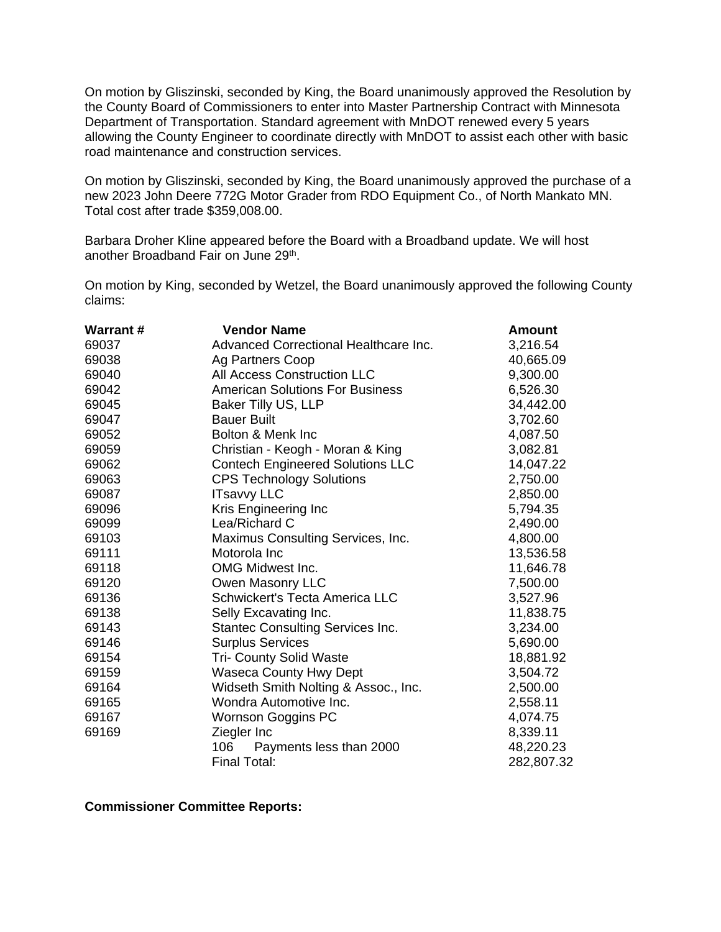On motion by Gliszinski, seconded by King, the Board unanimously approved the Resolution by the County Board of Commissioners to enter into Master Partnership Contract with Minnesota Department of Transportation. Standard agreement with MnDOT renewed every 5 years allowing the County Engineer to coordinate directly with MnDOT to assist each other with basic road maintenance and construction services.

On motion by Gliszinski, seconded by King, the Board unanimously approved the purchase of a new 2023 John Deere 772G Motor Grader from RDO Equipment Co., of North Mankato MN. Total cost after trade \$359,008.00.

Barbara Droher Kline appeared before the Board with a Broadband update. We will host another Broadband Fair on June 29<sup>th</sup>.

On motion by King, seconded by Wetzel, the Board unanimously approved the following County claims:

| <b>Warrant#</b> | <b>Vendor Name</b>                      | <b>Amount</b> |
|-----------------|-----------------------------------------|---------------|
| 69037           | Advanced Correctional Healthcare Inc.   | 3,216.54      |
| 69038           | Ag Partners Coop                        | 40,665.09     |
| 69040           | All Access Construction LLC             | 9,300.00      |
| 69042           | <b>American Solutions For Business</b>  | 6,526.30      |
| 69045           | Baker Tilly US, LLP                     | 34,442.00     |
| 69047           | <b>Bauer Built</b>                      | 3,702.60      |
| 69052           | Bolton & Menk Inc                       | 4,087.50      |
| 69059           | Christian - Keogh - Moran & King        | 3,082.81      |
| 69062           | <b>Contech Engineered Solutions LLC</b> | 14,047.22     |
| 69063           | <b>CPS Technology Solutions</b>         | 2,750.00      |
| 69087           | <b>ITsavvy LLC</b>                      | 2,850.00      |
| 69096           | Kris Engineering Inc                    | 5,794.35      |
| 69099           | Lea/Richard C                           | 2,490.00      |
| 69103           | Maximus Consulting Services, Inc.       | 4,800.00      |
| 69111           | Motorola Inc                            | 13,536.58     |
| 69118           | <b>OMG Midwest Inc.</b>                 | 11,646.78     |
| 69120           | Owen Masonry LLC                        | 7,500.00      |
| 69136           | <b>Schwickert's Tecta America LLC</b>   | 3,527.96      |
| 69138           | Selly Excavating Inc.                   | 11,838.75     |
| 69143           | <b>Stantec Consulting Services Inc.</b> | 3,234.00      |
| 69146           | <b>Surplus Services</b>                 | 5,690.00      |
| 69154           | <b>Tri- County Solid Waste</b>          | 18,881.92     |
| 69159           | <b>Waseca County Hwy Dept</b>           | 3,504.72      |
| 69164           | Widseth Smith Nolting & Assoc., Inc.    | 2,500.00      |
| 69165           | Wondra Automotive Inc.                  | 2,558.11      |
| 69167           | Wornson Goggins PC                      | 4,074.75      |
| 69169           | Ziegler Inc                             | 8,339.11      |
|                 | 106<br>Payments less than 2000          | 48,220.23     |
|                 | <b>Final Total:</b>                     | 282,807.32    |

**Commissioner Committee Reports:**